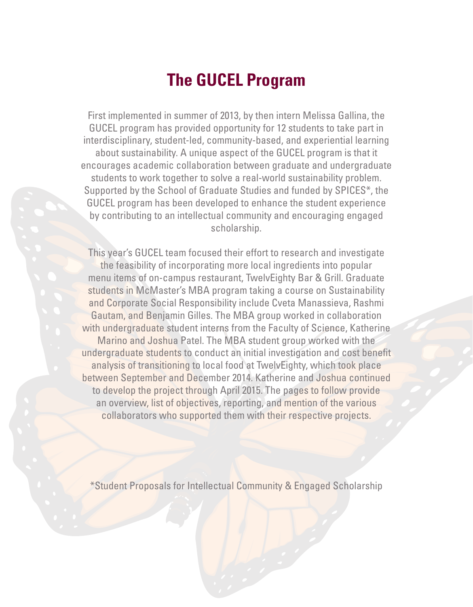# **The GUCEL Program**

First implemented in summer of 2013, by then intern Melissa Gallina, the GUCEL program has provided opportunity for 12 students to take part in interdisciplinary, student-led, community-based, and experiential learning about sustainability. A unique aspect of the GUCEL program is that it encourages academic collaboration between graduate and undergraduate students to work together to solve a real-world sustainability problem. Supported by the School of Graduate Studies and funded by SPICES\*, the GUCEL program has been developed to enhance the student experience by contributing to an intellectual community and encouraging engaged scholarship.

This year's GUCEL team focused their effort to research and investigate the feasibility of incorporating more local ingredients into popular menu items of on-campus restaurant, TwelvEighty Bar & Grill. Graduate students in McMaster's MBA program taking a course on Sustainability and Corporate Social Responsibility include Cveta Manassieva, Rashmi Gautam, and Benjamin Gilles. The MBA group worked in collaboration with undergraduate student interns from the Faculty of Science, Katherine Marino and Joshua Patel. The MBA student group worked with the undergraduate students to conduct an initial investigation and cost benefit analysis of transitioning to local food at TwelvEighty, which took place between September and December 2014. Katherine and Joshua continued to develop the project through April 2015. The pages to follow provide an overview, list of objectives, reporting, and mention of the various collaborators who supported them with their respective projects.

\*Student Proposals for Intellectual Community & Engaged Scholarship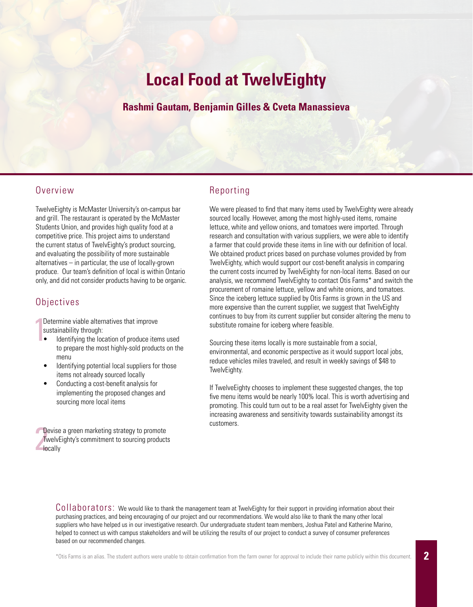# **Local Food at TwelvEighty**

### **Rashmi Gautam, Benjamin Gilles & Cveta Manassieva**

### Overview

TwelveEighty is McMaster University's on-campus bar and grill. The restaurant is operated by the McMaster Students Union, and provides high quality food at a competitive price. This project aims to understand the current status of TwelvEighty's product sourcing, and evaluating the possibility of more sustainable alternatives – in particular, the use of locally-grown produce. Our team's definition of local is within Ontario only, and did not consider products having to be organic.

#### **Objectives**

D<br>SI<br>
• Determine viable alternatives that improve sustainability through:

- Identifying the location of produce items used to prepare the most highly-sold products on the menu
- Identifying potential local suppliers for those items not already sourced locally
- Conducting a cost-benefit analysis for implementing the proposed changes and sourcing more local items

 $\frac{D}{T}$ Devise a green marketing strategy to promote TwelvEighty's commitment to sourcing products locally

### Reporting

We were pleased to find that many items used by TwelvEighty were already sourced locally. However, among the most highly-used items, romaine lettuce, white and yellow onions, and tomatoes were imported. Through research and consultation with various suppliers, we were able to identify a farmer that could provide these items in line with our definition of local. We obtained product prices based on purchase volumes provided by from TwelvEighty, which would support our cost-benefit analysis in comparing the current costs incurred by TwelvEighty for non-local items. Based on our analysis, we recommend TwelvEighty to contact Otis Farms\* and switch the procurement of romaine lettuce, yellow and white onions, and tomatoes. Since the iceberg lettuce supplied by Otis Farms is grown in the US and more expensive than the current supplier, we suggest that TwelvEighty continues to buy from its current supplier but consider altering the menu to substitute romaine for iceberg where feasible.

Sourcing these items locally is more sustainable from a social, environmental, and economic perspective as it would support local jobs, reduce vehicles miles traveled, and result in weekly savings of \$48 to TwelvEighty.

If TwelveEighty chooses to implement these suggested changes, the top five menu items would be nearly 100% local. This is worth advertising and promoting. This could turn out to be a real asset for TwelvEighty given the increasing awareness and sensitivity towards sustainability amongst its customers.

Collaborators: We would like to thank the management team at TwelvEighty for their support in providing information about their purchasing practices, and being encouraging of our project and our recommendations. We would also like to thank the many other local suppliers who have helped us in our investigative research. Our undergraduate student team members, Joshua Patel and Katherine Marino, helped to connect us with campus stakeholders and will be utilizing the results of our project to conduct a survey of consumer preferences based on our recommended changes.

\*Otis Farms is an alias. The student authors were unable to obtain confirmation from the farm owner for approval to include their name publicly within this document.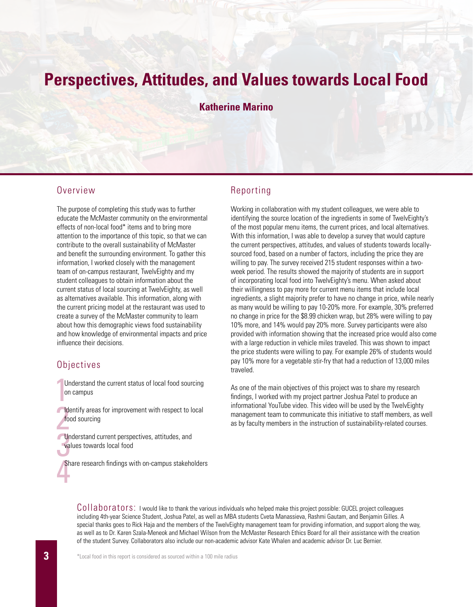# **Perspectives, Attitudes, and Values towards Local Food**

**Katherine Marino**

#### Overview

The purpose of completing this study was to further educate the McMaster community on the environmental effects of non-local food\* items and to bring more attention to the importance of this topic, so that we can contribute to the overall sustainability of McMaster and benefit the surrounding environment. To gather this information, I worked closely with the management team of on-campus restaurant, TwelvEighty and my student colleagues to obtain information about the current status of local sourcing at TwelvEighty, as well as alternatives available. This information, along with the current pricing model at the restaurant was used to create a survey of the McMaster community to learn about how this demographic views food sustainability and how knowledge of environmental impacts and price influence their decisions.

#### **Objectives**

- Understand the current status of local food sourcing<br>on campus on campus
- **Identify areas for improvement with respect to local** food sourcing
- Understand current perspectives, attitudes, and<br>values towards local food<br>Share reasons findings with an aggregate taken values towards local food

Share research findings with on-campus stakeholders<br> **All the state is considered to the state in the state is all the state is all the state is all the state is all the state is all the state is all the state is all the s** 

#### Reporting

Working in collaboration with my student colleagues, we were able to identifying the source location of the ingredients in some of TwelvEighty's of the most popular menu items, the current prices, and local alternatives. With this information, I was able to develop a survey that would capture the current perspectives, attitudes, and values of students towards locallysourced food, based on a number of factors, including the price they are willing to pay. The survey received 215 student responses within a twoweek period. The results showed the majority of students are in support of incorporating local food into TwelvEighty's menu. When asked about their willingness to pay more for current menu items that include local ingredients, a slight majority prefer to have no change in price, while nearly as many would be willing to pay 10-20% more. For example, 30% preferred no change in price for the \$8.99 chicken wrap, but 28% were willing to pay 10% more, and 14% would pay 20% more. Survey participants were also provided with information showing that the increased price would also come with a large reduction in vehicle miles traveled. This was shown to impact the price students were willing to pay. For example 26% of students would pay 10% more for a vegetable stir-fry that had a reduction of 13,000 miles traveled.

As one of the main objectives of this project was to share my research findings, I worked with my project partner Joshua Patel to produce an informational YouTube video. This video will be used by the TwelvEighty management team to communicate this initiative to staff members, as well as by faculty members in the instruction of sustainability-related courses.

Collaborators: I would like to thank the various individuals who helped make this project possible: GUCEL project colleagues including 4th-year Science Student, Joshua Patel, as well as MBA students Cveta Manassieva, Rashmi Gautam, and Benjamin Gilles. A special thanks goes to Rick Haja and the members of the TwelvEighty management team for providing information, and support along the way, as well as to Dr. Karen Szala-Meneok and Michael Wilson from the McMaster Research Ethics Board for all their assistance with the creation of the student Survey. Collaborators also include our non-academic advisor Kate Whalen and academic advisor Dr. Luc Bernier.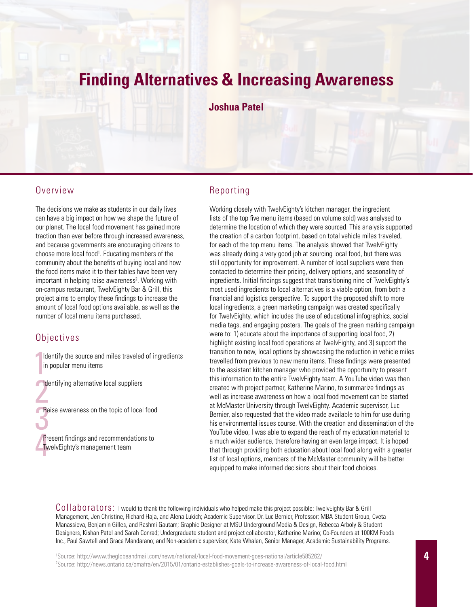## **Finding Alternatives & Increasing Awareness**

#### **Joshua Patel**

#### Overview

The decisions we make as students in our daily lives can have a big impact on how we shape the future of our planet. The local food movement has gained more traction than ever before through increased awareness, and because governments are encouraging citizens to choose more local food<sup>1</sup>. Educating members of the community about the benefits of buying local and how the food items make it to their tables have been very important in helping raise awareness<sup>2</sup>. Working with on-campus restaurant, TwelvEighty Bar & Grill, this project aims to employ these findings to increase the amount of local food options available, as well as the number of local menu items purchased.

#### **Objectives**

- $\begin{bmatrix} 1 & 1 \\ 1 & 1 \end{bmatrix}$ Identify the source and miles traveled of ingredients in popular menu items
- Identifying alternative local suppliers<br>
Reise suppresses on the topic of local
- Raise awareness on the topic of local food

Present findings and recommendations to<br>TwelvEighty's management team TwelvEighty's management team

### Reporting

Working closely with TwelvEighty's kitchen manager, the ingredient lists of the top five menu items (based on volume sold) was analysed to determine the location of which they were sourced. This analysis supported the creation of a carbon footprint, based on total vehicle miles traveled, for each of the top menu items. The analysis showed that TwelvEighty was already doing a very good job at sourcing local food, but there was still opportunity for improvement. A number of local suppliers were then contacted to determine their pricing, delivery options, and seasonality of ingredients. Initial findings suggest that transitioning nine of TwelvEighty's most used ingredients to local alternatives is a viable option, from both a financial and logistics perspective. To support the proposed shift to more local ingredients, a green marketing campaign was created specifically for TwelvEighty, which includes the use of educational infographics, social media tags, and engaging posters. The goals of the green marking campaign were to: 1) educate about the importance of supporting local food, 2) highlight existing local food operations at TwelvEighty, and 3) support the transition to new, local options by showcasing the reduction in vehicle miles travelled from previous to new menu items. These findings were presented to the assistant kitchen manager who provided the opportunity to present this information to the entire TwelvEighty team. A YouTube video was then created with project partner, Katherine Marino, to summarize findings as well as increase awareness on how a local food movement can be started at McMaster University through TwelvEighty. Academic supervisor, Luc Bernier, also requested that the video made available to him for use during his environmental issues course. With the creation and dissemination of the YouTube video, I was able to expand the reach of my education material to a much wider audience, therefore having an even large impact. It is hoped that through providing both education about local food along with a greater list of local options, members of the McMaster community will be better equipped to make informed decisions about their food choices.

Collaborators: I would to thank the following individuals who helped make this project possible: TwelvEighty Bar & Grill Management, Jen Christine, Richard Haja, and Alena Lukich; Academic Supervisor, Dr. Luc Bernier, Professor; MBA Student Group, Cveta Manassieva, Benjamin Gilles, and Rashmi Gautam; Graphic Designer at MSU Underground Media & Design, Rebecca Arboly & Student Designers, Kishan Patel and Sarah Conrad; Undergraduate student and project collaborator, Katherine Marino; Co-Founders at 100KM Foods Inc., Paul Sawtell and Grace Mandarano; and Non-academic supervisor, Kate Whalen, Senior Manager, Academic Sustainability Programs.

1 Source: http://www.theglobeandmail.com/news/national/local-food-movement-goes-national/article585262/ 2 Source: http://news.ontario.ca/omafra/en/2015/01/ontario-establishes-goals-to-increase-awareness-of-local-food.html